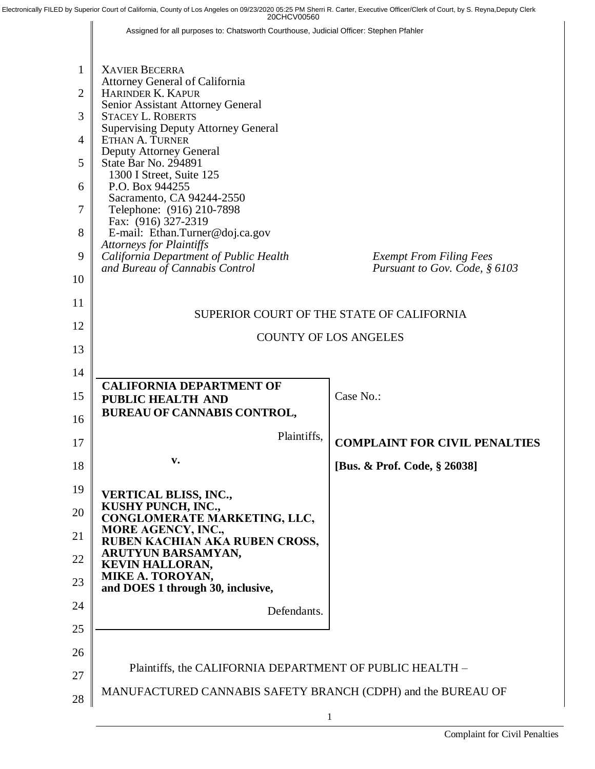Electronically FILED by Superior Court of California, County of Los Angeles on 09/23/2020 05:25 PM Sherri R. Carter, Executive Officer/Clerk of Court, by S. Reyna,Deputy Clerk

Assigned for all purposes to: Chatsworth Courthouse, Judicial Officer: Stephen Pfahler

| 1              | <b>XAVIER BECERRA</b>                                                              |                                      |  |  |
|----------------|------------------------------------------------------------------------------------|--------------------------------------|--|--|
| $\overline{2}$ | Attorney General of California<br>HARINDER K. KAPUR                                |                                      |  |  |
| 3              | Senior Assistant Attorney General<br><b>STACEY L. ROBERTS</b>                      |                                      |  |  |
| 4              | <b>Supervising Deputy Attorney General</b><br>ETHAN A. TURNER                      |                                      |  |  |
| 5              | Deputy Attorney General<br>State Bar No. 294891                                    |                                      |  |  |
| 6              | 1300 I Street, Suite 125<br>P.O. Box 944255                                        |                                      |  |  |
| 7              | Sacramento, CA 94244-2550<br>Telephone: (916) 210-7898                             |                                      |  |  |
| 8              | Fax: (916) 327-2319<br>E-mail: Ethan.Turner@doj.ca.gov                             |                                      |  |  |
| 9              | <b>Attorneys for Plaintiffs</b><br>California Department of Public Health          | <b>Exempt From Filing Fees</b>       |  |  |
| 10             | and Bureau of Cannabis Control                                                     | Pursuant to Gov. Code, § 6103        |  |  |
| 11             |                                                                                    |                                      |  |  |
| 12             | SUPERIOR COURT OF THE STATE OF CALIFORNIA                                          |                                      |  |  |
| 13             | <b>COUNTY OF LOS ANGELES</b>                                                       |                                      |  |  |
| 14             |                                                                                    |                                      |  |  |
| 15             | <b>CALIFORNIA DEPARTMENT OF</b>                                                    | Case No.:                            |  |  |
| 16             | PUBLIC HEALTH AND<br>BUREAU OF CANNABIS CONTROL,                                   |                                      |  |  |
| 17             | Plaintiffs.                                                                        | <b>COMPLAINT FOR CIVIL PENALTIES</b> |  |  |
|                | v.                                                                                 |                                      |  |  |
| 18             |                                                                                    | [Bus. & Prof. Code, § 26038]         |  |  |
| 19<br>20       | <b>VERTICAL BLISS, INC.,</b><br>KUSHY PUNCH, INC.,<br>CONGLOMERATE MARKETING, LLC, |                                      |  |  |
| 21             | MORE AGENCY, INC.,<br>RUBEN KACHIAN AKA RUBEN CROSS,                               |                                      |  |  |
| 22             | ARUTYUN BARSAMYAN,<br><b>KEVIN HALLORAN,</b>                                       |                                      |  |  |
| 23             | MIKE A. TOROYAN,<br>and DOES 1 through 30, inclusive,                              |                                      |  |  |
| 24             | Defendants.                                                                        |                                      |  |  |
| 25             |                                                                                    |                                      |  |  |
| 26             |                                                                                    |                                      |  |  |
| 27             | Plaintiffs, the CALIFORNIA DEPARTMENT OF PUBLIC HEALTH -                           |                                      |  |  |
| 28             | MANUFACTURED CANNABIS SAFETY BRANCH (CDPH) and the BUREAU OF                       |                                      |  |  |

1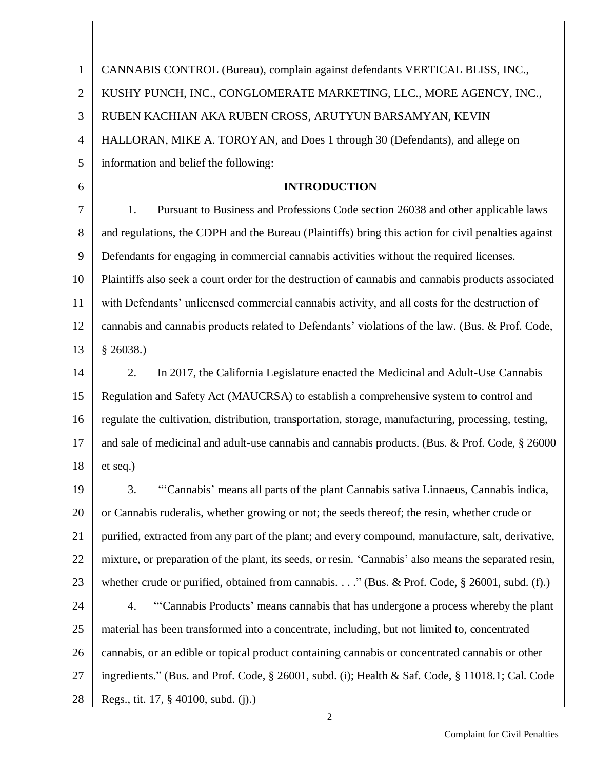| $\mathbf{1}$   | CANNABIS CONTROL (Bureau), complain against defendants VERTICAL BLISS, INC.,                          |
|----------------|-------------------------------------------------------------------------------------------------------|
| $\overline{2}$ | KUSHY PUNCH, INC., CONGLOMERATE MARKETING, LLC., MORE AGENCY, INC.,                                   |
| 3              | RUBEN KACHIAN AKA RUBEN CROSS, ARUTYUN BARSAMYAN, KEVIN                                               |
| 4              | HALLORAN, MIKE A. TOROYAN, and Does 1 through 30 (Defendants), and allege on                          |
| 5              | information and belief the following:                                                                 |
| 6              | <b>INTRODUCTION</b>                                                                                   |
| $\overline{7}$ | Pursuant to Business and Professions Code section 26038 and other applicable laws<br>1.               |
| 8              | and regulations, the CDPH and the Bureau (Plaintiffs) bring this action for civil penalties against   |
| 9              | Defendants for engaging in commercial cannabis activities without the required licenses.              |
| 10             | Plaintiffs also seek a court order for the destruction of cannabis and cannabis products associated   |
| 11             | with Defendants' unlicensed commercial cannabis activity, and all costs for the destruction of        |
| 12             | cannabis and cannabis products related to Defendants' violations of the law. (Bus. & Prof. Code,      |
| 13             | \$26038.)                                                                                             |
| 14             | In 2017, the California Legislature enacted the Medicinal and Adult-Use Cannabis<br>2.                |
| 15             | Regulation and Safety Act (MAUCRSA) to establish a comprehensive system to control and                |
| 16             | regulate the cultivation, distribution, transportation, storage, manufacturing, processing, testing,  |
| 17             | and sale of medicinal and adult-use cannabis and cannabis products. (Bus. & Prof. Code, § 26000       |
| 18             | et seq.)                                                                                              |
| 19             | 3.<br>"Cannabis' means all parts of the plant Cannabis sativa Linnaeus, Cannabis indica,              |
| 20             | or Cannabis ruderalis, whether growing or not; the seeds thereof; the resin, whether crude or         |
| 21             | purified, extracted from any part of the plant; and every compound, manufacture, salt, derivative,    |
| 22             | mixture, or preparation of the plant, its seeds, or resin. 'Cannabis' also means the separated resin, |
| 23             | whether crude or purified, obtained from cannabis" (Bus. & Prof. Code, $\S$ 26001, subd. (f).)        |
| 24             | "Cannabis Products' means cannabis that has undergone a process whereby the plant<br>4.               |
| 25             | material has been transformed into a concentrate, including, but not limited to, concentrated         |
| 26             | cannabis, or an edible or topical product containing cannabis or concentrated cannabis or other       |
| 27             | ingredients." (Bus. and Prof. Code, § 26001, subd. (i); Health & Saf. Code, § 11018.1; Cal. Code      |
| 28             | Regs., tit. 17, § 40100, subd. (j).)                                                                  |
|                | 2                                                                                                     |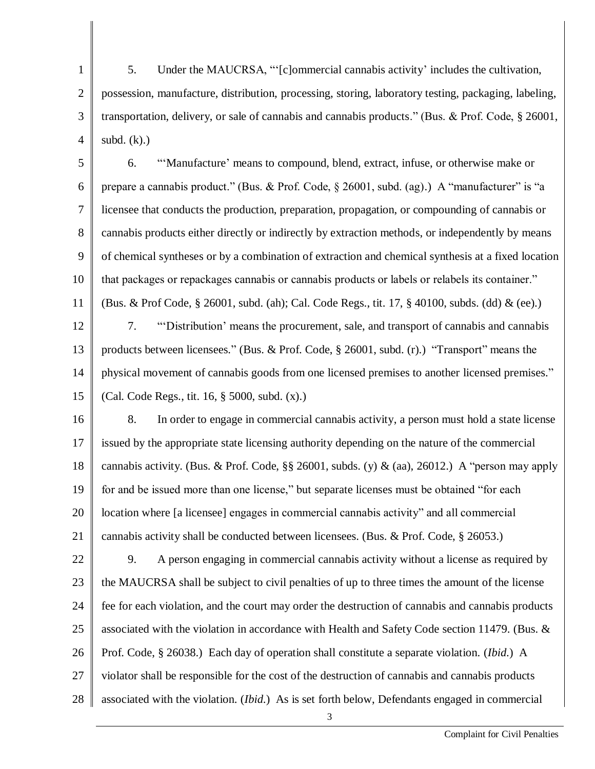1 2 3 4 5. Under the MAUCRSA, "'[c]ommercial cannabis activity' includes the cultivation, possession, manufacture, distribution, processing, storing, laboratory testing, packaging, labeling, transportation, delivery, or sale of cannabis and cannabis products." (Bus. & Prof. Code, § 26001, subd. (k).)

5 6 7 8 9 10 11 12 13 14 6. "'Manufacture' means to compound, blend, extract, infuse, or otherwise make or prepare a cannabis product." (Bus. & Prof. Code, § 26001, subd. (ag).) A "manufacturer" is "a licensee that conducts the production, preparation, propagation, or compounding of cannabis or cannabis products either directly or indirectly by extraction methods, or independently by means of chemical syntheses or by a combination of extraction and chemical synthesis at a fixed location that packages or repackages cannabis or cannabis products or labels or relabels its container." (Bus. & Prof Code, § 26001, subd. (ah); Cal. Code Regs., tit. 17, § 40100, subds. (dd) & (ee).) 7. "'Distribution' means the procurement, sale, and transport of cannabis and cannabis products between licensees." (Bus. & Prof. Code, § 26001, subd. (r).) "Transport" means the physical movement of cannabis goods from one licensed premises to another licensed premises."

15 (Cal. Code Regs., tit. 16, § 5000, subd. (x).)

16 17 18 19 20 21 8. In order to engage in commercial cannabis activity, a person must hold a state license issued by the appropriate state licensing authority depending on the nature of the commercial cannabis activity. (Bus. & Prof. Code, §§ 26001, subds. (y) & (aa), 26012.) A "person may apply for and be issued more than one license," but separate licenses must be obtained "for each location where [a licensee] engages in commercial cannabis activity" and all commercial cannabis activity shall be conducted between licensees. (Bus. & Prof. Code, § 26053.)

22 23 24 25 26 27 28 9. A person engaging in commercial cannabis activity without a license as required by the MAUCRSA shall be subject to civil penalties of up to three times the amount of the license fee for each violation, and the court may order the destruction of cannabis and cannabis products associated with the violation in accordance with Health and Safety Code section 11479. (Bus. & Prof. Code, § 26038.) Each day of operation shall constitute a separate violation. (*Ibid*.) A violator shall be responsible for the cost of the destruction of cannabis and cannabis products associated with the violation. (*Ibid*.) As is set forth below, Defendants engaged in commercial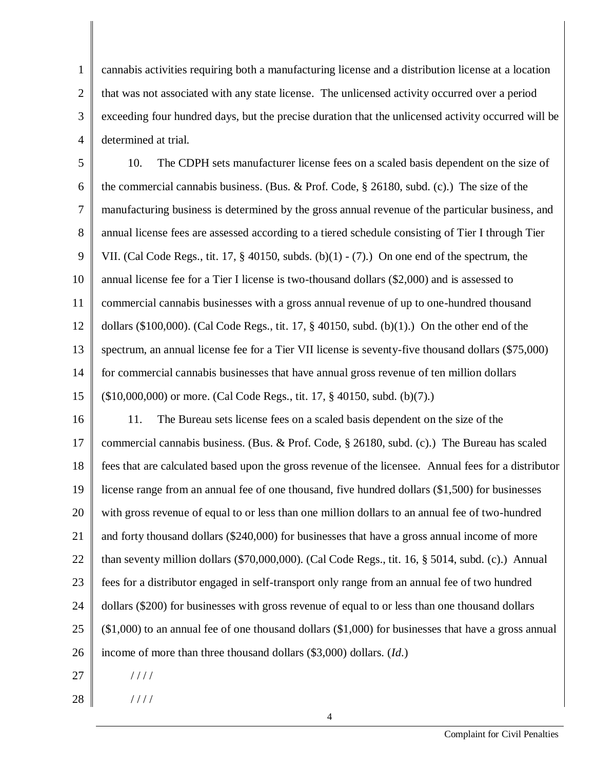1 2 3 4 cannabis activities requiring both a manufacturing license and a distribution license at a location that was not associated with any state license. The unlicensed activity occurred over a period exceeding four hundred days, but the precise duration that the unlicensed activity occurred will be determined at trial.

5 6 7 8 9 10 11 12 13 14 15 10. The CDPH sets manufacturer license fees on a scaled basis dependent on the size of the commercial cannabis business. (Bus. & Prof. Code, § 26180, subd. (c).) The size of the manufacturing business is determined by the gross annual revenue of the particular business, and annual license fees are assessed according to a tiered schedule consisting of Tier I through Tier VII. (Cal Code Regs., tit. 17,  $\S$  40150, subds. (b)(1) - (7).) On one end of the spectrum, the annual license fee for a Tier I license is two-thousand dollars (\$2,000) and is assessed to commercial cannabis businesses with a gross annual revenue of up to one-hundred thousand dollars  $(\$100,000)$ . (Cal Code Regs., tit. 17,  $§$  40150, subd. (b)(1).) On the other end of the spectrum, an annual license fee for a Tier VII license is seventy-five thousand dollars (\$75,000) for commercial cannabis businesses that have annual gross revenue of ten million dollars (\$10,000,000) or more. (Cal Code Regs., tit. 17, § 40150, subd. (b)(7).)

16 17 18 19 20 21 22 23 24 25 26 11. The Bureau sets license fees on a scaled basis dependent on the size of the commercial cannabis business. (Bus. & Prof. Code, § 26180, subd. (c).) The Bureau has scaled fees that are calculated based upon the gross revenue of the licensee. Annual fees for a distributor license range from an annual fee of one thousand, five hundred dollars (\$1,500) for businesses with gross revenue of equal to or less than one million dollars to an annual fee of two-hundred and forty thousand dollars (\$240,000) for businesses that have a gross annual income of more than seventy million dollars (\$70,000,000). (Cal Code Regs., tit. 16, § 5014, subd. (c).) Annual fees for a distributor engaged in self-transport only range from an annual fee of two hundred dollars (\$200) for businesses with gross revenue of equal to or less than one thousand dollars (\$1,000) to an annual fee of one thousand dollars (\$1,000) for businesses that have a gross annual income of more than three thousand dollars (\$3,000) dollars. (*Id*.)

27 / / / /

28 / / / /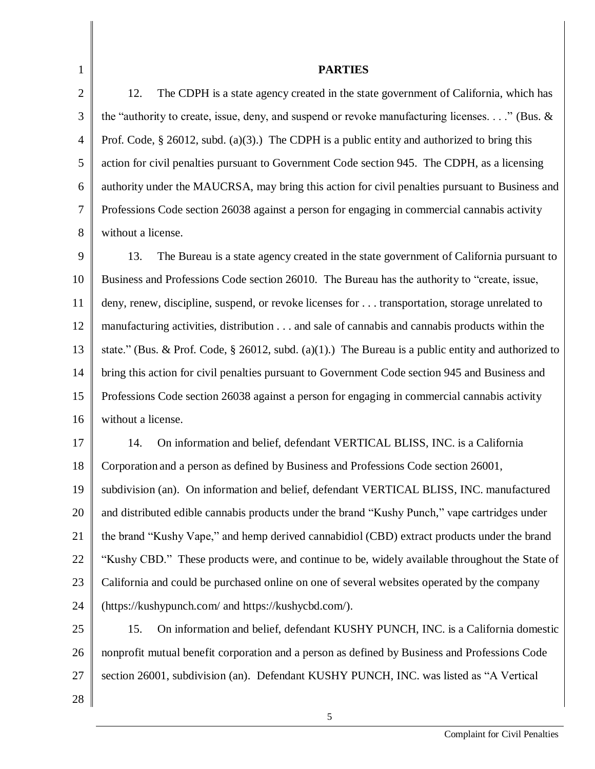1 2 3 4 5 6 7 8 **PARTIES** 12. The CDPH is a state agency created in the state government of California, which has the "authority to create, issue, deny, and suspend or revoke manufacturing licenses. . . ." (Bus. & Prof. Code,  $\S$  26012, subd. (a)(3).) The CDPH is a public entity and authorized to bring this action for civil penalties pursuant to Government Code section 945. The CDPH, as a licensing authority under the MAUCRSA, may bring this action for civil penalties pursuant to Business and Professions Code section 26038 against a person for engaging in commercial cannabis activity without a license.

9 10 11 12 13 14 15 16 13. The Bureau is a state agency created in the state government of California pursuant to Business and Professions Code section 26010. The Bureau has the authority to "create, issue, deny, renew, discipline, suspend, or revoke licenses for . . . transportation, storage unrelated to manufacturing activities, distribution . . . and sale of cannabis and cannabis products within the state." (Bus. & Prof. Code, § 26012, subd. (a)(1).) The Bureau is a public entity and authorized to bring this action for civil penalties pursuant to Government Code section 945 and Business and Professions Code section 26038 against a person for engaging in commercial cannabis activity without a license.

17 18 19 20 21 22 23 24 14. On information and belief, defendant VERTICAL BLISS, INC. is a California Corporation and a person as defined by Business and Professions Code section 26001, subdivision (an). On information and belief, defendant VERTICAL BLISS, INC. manufactured and distributed edible cannabis products under the brand "Kushy Punch," vape cartridges under the brand "Kushy Vape," and hemp derived cannabidiol (CBD) extract products under the brand "Kushy CBD." These products were, and continue to be, widely available throughout the State of California and could be purchased online on one of several websites operated by the company (https://kushypunch.com/ and https://kushycbd.com/).

- 25 26 27 15. On information and belief, defendant KUSHY PUNCH, INC. is a California domestic nonprofit mutual benefit corporation and a person as defined by Business and Professions Code section 26001, subdivision (an). Defendant KUSHY PUNCH, INC. was listed as "A Vertical
- 28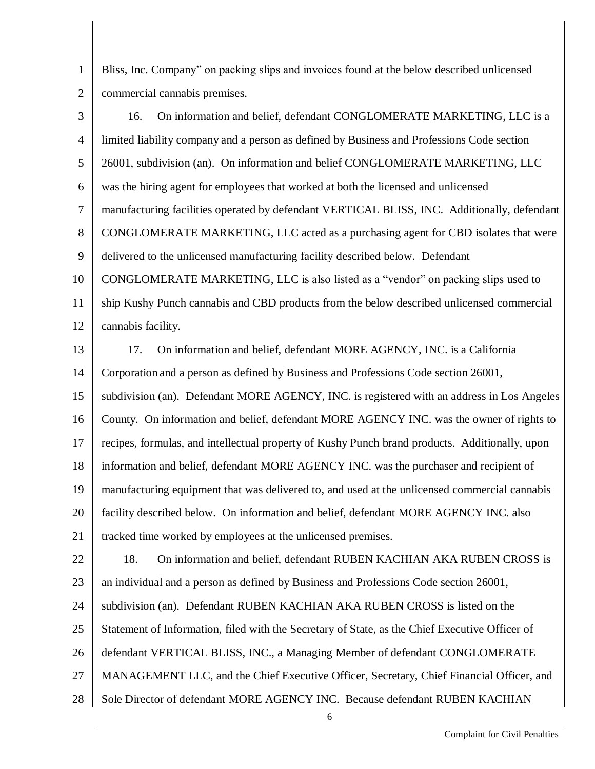1 2 Bliss, Inc. Company" on packing slips and invoices found at the below described unlicensed commercial cannabis premises.

| 3              | On information and belief, defendant CONGLOMERATE MARKETING, LLC is a<br>16.                   |  |  |
|----------------|------------------------------------------------------------------------------------------------|--|--|
| $\overline{4}$ | limited liability company and a person as defined by Business and Professions Code section     |  |  |
| 5              | 26001, subdivision (an). On information and belief CONGLOMERATE MARKETING, LLC                 |  |  |
| 6              | was the hiring agent for employees that worked at both the licensed and unlicensed             |  |  |
| $\tau$         | manufacturing facilities operated by defendant VERTICAL BLISS, INC. Additionally, defendant    |  |  |
| 8              | CONGLOMERATE MARKETING, LLC acted as a purchasing agent for CBD isolates that were             |  |  |
| 9              | delivered to the unlicensed manufacturing facility described below. Defendant                  |  |  |
| 10             | CONGLOMERATE MARKETING, LLC is also listed as a "vendor" on packing slips used to              |  |  |
| 11             | ship Kushy Punch cannabis and CBD products from the below described unlicensed commercial      |  |  |
| 12             | cannabis facility.                                                                             |  |  |
| 13             | 17.<br>On information and belief, defendant MORE AGENCY, INC. is a California                  |  |  |
| 14             | Corporation and a person as defined by Business and Professions Code section 26001,            |  |  |
| 15             | subdivision (an). Defendant MORE AGENCY, INC. is registered with an address in Los Angeles     |  |  |
| 16             | County. On information and belief, defendant MORE AGENCY INC. was the owner of rights to       |  |  |
| 17             | recipes, formulas, and intellectual property of Kushy Punch brand products. Additionally, upon |  |  |
| 18             | information and belief, defendant MORE AGENCY INC. was the purchaser and recipient of          |  |  |
| 19             | manufacturing equipment that was delivered to, and used at the unlicensed commercial cannabis  |  |  |
| 20             | facility described below. On information and belief, defendant MORE AGENCY INC. also           |  |  |
| 21             | tracked time worked by employees at the unlicensed premises.                                   |  |  |
| 22             | On information and belief, defendant RUBEN KACHIAN AKA RUBEN CROSS is<br>18.                   |  |  |
| 23             | an individual and a person as defined by Business and Professions Code section 26001,          |  |  |
| 24             | subdivision (an). Defendant RUBEN KACHIAN AKA RUBEN CROSS is listed on the                     |  |  |
| 25             | Statement of Information, filed with the Secretary of State, as the Chief Executive Officer of |  |  |
| 26             | defendant VERTICAL BLISS, INC., a Managing Member of defendant CONGLOMERATE                    |  |  |
| 27             | MANAGEMENT LLC, and the Chief Executive Officer, Secretary, Chief Financial Officer, and       |  |  |
| 28             | Sole Director of defendant MORE AGENCY INC. Because defendant RUBEN KACHIAN                    |  |  |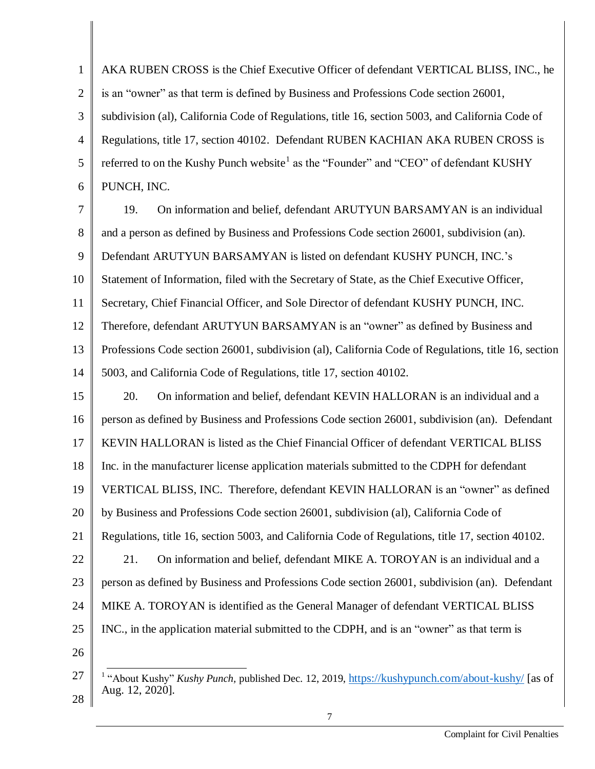1 2 3 4 5 6 AKA RUBEN CROSS is the Chief Executive Officer of defendant VERTICAL BLISS, INC., he is an "owner" as that term is defined by Business and Professions Code section 26001, subdivision (al), California Code of Regulations, title 16, section 5003, and California Code of Regulations, title 17, section 40102. Defendant RUBEN KACHIAN AKA RUBEN CROSS is referred to on the Kushy Punch website<sup>1</sup> as the "Founder" and "CEO" of defendant KUSHY PUNCH, INC.

7 8 9 10 11 12 13 14 19. On information and belief, defendant ARUTYUN BARSAMYAN is an individual and a person as defined by Business and Professions Code section 26001, subdivision (an). Defendant ARUTYUN BARSAMYAN is listed on defendant KUSHY PUNCH, INC.'s Statement of Information, filed with the Secretary of State, as the Chief Executive Officer, Secretary, Chief Financial Officer, and Sole Director of defendant KUSHY PUNCH, INC. Therefore, defendant ARUTYUN BARSAMYAN is an "owner" as defined by Business and Professions Code section 26001, subdivision (al), California Code of Regulations, title 16, section 5003, and California Code of Regulations, title 17, section 40102.

15 16 17 18 19 20 21 22 23 24 25 26 20. On information and belief, defendant KEVIN HALLORAN is an individual and a person as defined by Business and Professions Code section 26001, subdivision (an). Defendant KEVIN HALLORAN is listed as the Chief Financial Officer of defendant VERTICAL BLISS Inc. in the manufacturer license application materials submitted to the CDPH for defendant VERTICAL BLISS, INC. Therefore, defendant KEVIN HALLORAN is an "owner" as defined by Business and Professions Code section 26001, subdivision (al), California Code of Regulations, title 16, section 5003, and California Code of Regulations, title 17, section 40102. 21. On information and belief, defendant MIKE A. TOROYAN is an individual and a person as defined by Business and Professions Code section 26001, subdivision (an). Defendant MIKE A. TOROYAN is identified as the General Manager of defendant VERTICAL BLISS INC., in the application material submitted to the CDPH, and is an "owner" as that term is

<sup>27</sup> -<sup>1</sup> "About Kushy" *Kushy Punch*, published Dec. 12, 2019, <https://kushypunch.com/about-kushy/> [as of Aug. 12, 2020].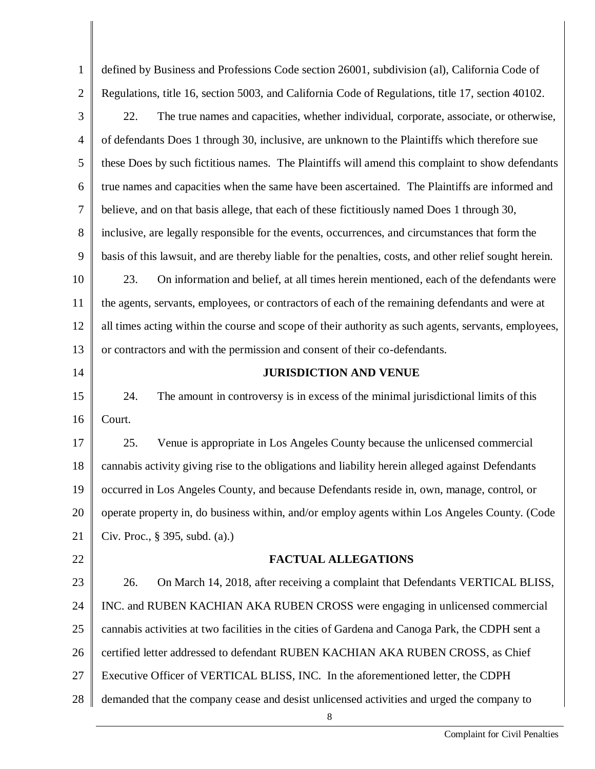| $\mathbf{1}$   | defined by Business and Professions Code section 26001, subdivision (al), California Code of            |  |  |
|----------------|---------------------------------------------------------------------------------------------------------|--|--|
| $\overline{2}$ | Regulations, title 16, section 5003, and California Code of Regulations, title 17, section 40102.       |  |  |
| 3              | The true names and capacities, whether individual, corporate, associate, or otherwise,<br>22.           |  |  |
| $\overline{4}$ | of defendants Does 1 through 30, inclusive, are unknown to the Plaintiffs which therefore sue           |  |  |
| 5              | these Does by such fictitious names. The Plaintiffs will amend this complaint to show defendants        |  |  |
| 6              | true names and capacities when the same have been ascertained. The Plaintiffs are informed and          |  |  |
| 7              | believe, and on that basis allege, that each of these fictitiously named Does 1 through 30,             |  |  |
| 8              | inclusive, are legally responsible for the events, occurrences, and circumstances that form the         |  |  |
| 9              | basis of this lawsuit, and are thereby liable for the penalties, costs, and other relief sought herein. |  |  |
| 10             | 23.<br>On information and belief, at all times herein mentioned, each of the defendants were            |  |  |
| 11             | the agents, servants, employees, or contractors of each of the remaining defendants and were at         |  |  |
| 12             | all times acting within the course and scope of their authority as such agents, servants, employees,    |  |  |
| 13             | or contractors and with the permission and consent of their co-defendants.                              |  |  |
| 14             | <b>JURISDICTION AND VENUE</b>                                                                           |  |  |
| 15             | The amount in controversy is in excess of the minimal jurisdictional limits of this<br>24.              |  |  |
| 16             | Court.                                                                                                  |  |  |
| 17             | Venue is appropriate in Los Angeles County because the unlicensed commercial<br>25.                     |  |  |
| 18             | cannabis activity giving rise to the obligations and liability herein alleged against Defendants        |  |  |
| 19             | occurred in Los Angeles County, and because Defendants reside in, own, manage, control, or              |  |  |
| 20             | operate property in, do business within, and/or employ agents within Los Angeles County. (Code          |  |  |
| 21             | Civ. Proc., § 395, subd. (a).)                                                                          |  |  |
| 22             | <b>FACTUAL ALLEGATIONS</b>                                                                              |  |  |
| 23             | 26.<br>On March 14, 2018, after receiving a complaint that Defendants VERTICAL BLISS,                   |  |  |
| 24             | INC. and RUBEN KACHIAN AKA RUBEN CROSS were engaging in unlicensed commercial                           |  |  |
| 25             | cannabis activities at two facilities in the cities of Gardena and Canoga Park, the CDPH sent a         |  |  |
| 26             | certified letter addressed to defendant RUBEN KACHIAN AKA RUBEN CROSS, as Chief                         |  |  |
| 27             | Executive Officer of VERTICAL BLISS, INC. In the aforementioned letter, the CDPH                        |  |  |
| 28             | demanded that the company cease and desist unlicensed activities and urged the company to               |  |  |
|                | 8                                                                                                       |  |  |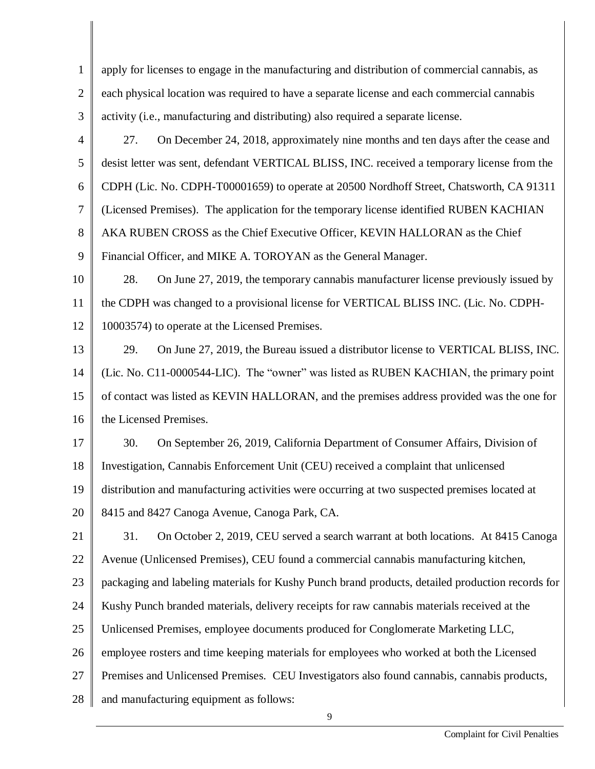1 2 3 4 apply for licenses to engage in the manufacturing and distribution of commercial cannabis, as each physical location was required to have a separate license and each commercial cannabis activity (i.e., manufacturing and distributing) also required a separate license. 27. On December 24, 2018, approximately nine months and ten days after the cease and

5 6 7 8 9 desist letter was sent, defendant VERTICAL BLISS, INC. received a temporary license from the CDPH (Lic. No. CDPH-T00001659) to operate at 20500 Nordhoff Street, Chatsworth, CA 91311 (Licensed Premises). The application for the temporary license identified RUBEN KACHIAN AKA RUBEN CROSS as the Chief Executive Officer, KEVIN HALLORAN as the Chief Financial Officer, and MIKE A. TOROYAN as the General Manager.

10 11 12 28. On June 27, 2019, the temporary cannabis manufacturer license previously issued by the CDPH was changed to a provisional license for VERTICAL BLISS INC. (Lic. No. CDPH-10003574) to operate at the Licensed Premises.

13 14 15 16 29. On June 27, 2019, the Bureau issued a distributor license to VERTICAL BLISS, INC. (Lic. No. C11-0000544-LIC). The "owner" was listed as RUBEN KACHIAN, the primary point of contact was listed as KEVIN HALLORAN, and the premises address provided was the one for the Licensed Premises.

17 18 19 20 30. On September 26, 2019, California Department of Consumer Affairs, Division of Investigation, Cannabis Enforcement Unit (CEU) received a complaint that unlicensed distribution and manufacturing activities were occurring at two suspected premises located at 8415 and 8427 Canoga Avenue, Canoga Park, CA.

21 22 23 24 25 26 27 28 31. On October 2, 2019, CEU served a search warrant at both locations. At 8415 Canoga Avenue (Unlicensed Premises), CEU found a commercial cannabis manufacturing kitchen, packaging and labeling materials for Kushy Punch brand products, detailed production records for Kushy Punch branded materials, delivery receipts for raw cannabis materials received at the Unlicensed Premises, employee documents produced for Conglomerate Marketing LLC, employee rosters and time keeping materials for employees who worked at both the Licensed Premises and Unlicensed Premises. CEU Investigators also found cannabis, cannabis products, and manufacturing equipment as follows: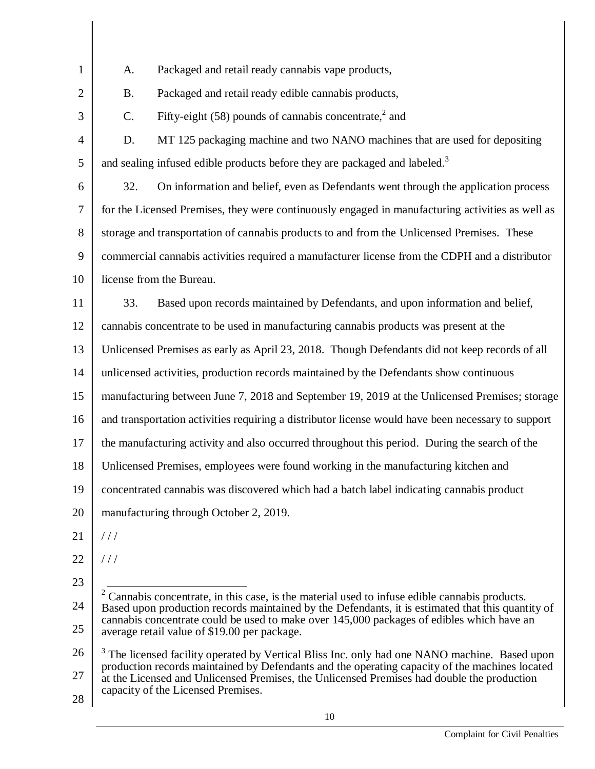| $\mathbf{1}$   | Packaged and retail ready cannabis vape products,<br>A.                                                                                                                                                                                                                                                                                        |  |  |
|----------------|------------------------------------------------------------------------------------------------------------------------------------------------------------------------------------------------------------------------------------------------------------------------------------------------------------------------------------------------|--|--|
| $\overline{2}$ | Packaged and retail ready edible cannabis products,<br><b>B.</b>                                                                                                                                                                                                                                                                               |  |  |
| 3              | Fifty-eight $(58)$ pounds of cannabis concentrate, <sup>2</sup> and<br>C.                                                                                                                                                                                                                                                                      |  |  |
| $\overline{4}$ | MT 125 packaging machine and two NANO machines that are used for depositing<br>D.                                                                                                                                                                                                                                                              |  |  |
| 5              | and sealing infused edible products before they are packaged and labeled. <sup>3</sup>                                                                                                                                                                                                                                                         |  |  |
| 6              | On information and belief, even as Defendants went through the application process<br>32.                                                                                                                                                                                                                                                      |  |  |
| $\overline{7}$ | for the Licensed Premises, they were continuously engaged in manufacturing activities as well as                                                                                                                                                                                                                                               |  |  |
| 8              | storage and transportation of cannabis products to and from the Unlicensed Premises. These                                                                                                                                                                                                                                                     |  |  |
| 9              | commercial cannabis activities required a manufacturer license from the CDPH and a distributor                                                                                                                                                                                                                                                 |  |  |
| 10             | license from the Bureau.                                                                                                                                                                                                                                                                                                                       |  |  |
| 11             | Based upon records maintained by Defendants, and upon information and belief,<br>33.                                                                                                                                                                                                                                                           |  |  |
| 12             | cannabis concentrate to be used in manufacturing cannabis products was present at the                                                                                                                                                                                                                                                          |  |  |
| 13             | Unlicensed Premises as early as April 23, 2018. Though Defendants did not keep records of all                                                                                                                                                                                                                                                  |  |  |
| 14             | unlicensed activities, production records maintained by the Defendants show continuous                                                                                                                                                                                                                                                         |  |  |
| 15             | manufacturing between June 7, 2018 and September 19, 2019 at the Unlicensed Premises; storage                                                                                                                                                                                                                                                  |  |  |
| 16             | and transportation activities requiring a distributor license would have been necessary to support                                                                                                                                                                                                                                             |  |  |
| 17             | the manufacturing activity and also occurred throughout this period. During the search of the                                                                                                                                                                                                                                                  |  |  |
| 18             | Unlicensed Premises, employees were found working in the manufacturing kitchen and                                                                                                                                                                                                                                                             |  |  |
| 19             | concentrated cannabis was discovered which had a batch label indicating cannabis product                                                                                                                                                                                                                                                       |  |  |
| 20             | manufacturing through October 2, 2019.                                                                                                                                                                                                                                                                                                         |  |  |
| 21             | 111                                                                                                                                                                                                                                                                                                                                            |  |  |
| 22             | 111                                                                                                                                                                                                                                                                                                                                            |  |  |
| 23             |                                                                                                                                                                                                                                                                                                                                                |  |  |
| 24             | Cannabis concentrate, in this case, is the material used to infuse edible cannabis products.<br>Based upon production records maintained by the Defendants, it is estimated that this quantity of<br>cannabis concentrate could be used to make over 145,000 packages of edibles which have an<br>average retail value of \$19.00 per package. |  |  |
| 25             |                                                                                                                                                                                                                                                                                                                                                |  |  |
| 26             | <sup>3</sup> The licensed facility operated by Vertical Bliss Inc. only had one NANO machine. Based upon                                                                                                                                                                                                                                       |  |  |
| 27             | production records maintained by Defendants and the operating capacity of the machines located<br>at the Licensed and Unlicensed Premises, the Unlicensed Premises had double the production                                                                                                                                                   |  |  |
| 28             | capacity of the Licensed Premises.                                                                                                                                                                                                                                                                                                             |  |  |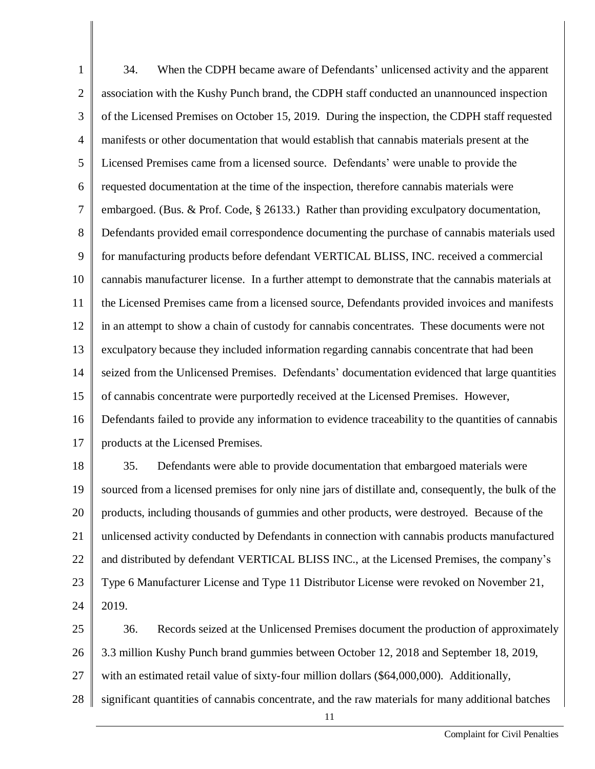1 2 3 4 5 6 7 8 9 10 11 12 13 14 15 16 17 34. When the CDPH became aware of Defendants' unlicensed activity and the apparent association with the Kushy Punch brand, the CDPH staff conducted an unannounced inspection of the Licensed Premises on October 15, 2019. During the inspection, the CDPH staff requested manifests or other documentation that would establish that cannabis materials present at the Licensed Premises came from a licensed source. Defendants' were unable to provide the requested documentation at the time of the inspection, therefore cannabis materials were embargoed. (Bus. & Prof. Code, § 26133.) Rather than providing exculpatory documentation, Defendants provided email correspondence documenting the purchase of cannabis materials used for manufacturing products before defendant VERTICAL BLISS, INC. received a commercial cannabis manufacturer license. In a further attempt to demonstrate that the cannabis materials at the Licensed Premises came from a licensed source, Defendants provided invoices and manifests in an attempt to show a chain of custody for cannabis concentrates. These documents were not exculpatory because they included information regarding cannabis concentrate that had been seized from the Unlicensed Premises. Defendants' documentation evidenced that large quantities of cannabis concentrate were purportedly received at the Licensed Premises. However, Defendants failed to provide any information to evidence traceability to the quantities of cannabis products at the Licensed Premises. 35. Defendants were able to provide documentation that embargoed materials were

18 19 20 21 22 23 24 sourced from a licensed premises for only nine jars of distillate and, consequently, the bulk of the products, including thousands of gummies and other products, were destroyed. Because of the unlicensed activity conducted by Defendants in connection with cannabis products manufactured and distributed by defendant VERTICAL BLISS INC., at the Licensed Premises, the company's Type 6 Manufacturer License and Type 11 Distributor License were revoked on November 21, 2019.

25 26 27 28 36. Records seized at the Unlicensed Premises document the production of approximately 3.3 million Kushy Punch brand gummies between October 12, 2018 and September 18, 2019, with an estimated retail value of sixty-four million dollars (\$64,000,000). Additionally, significant quantities of cannabis concentrate, and the raw materials for many additional batches

11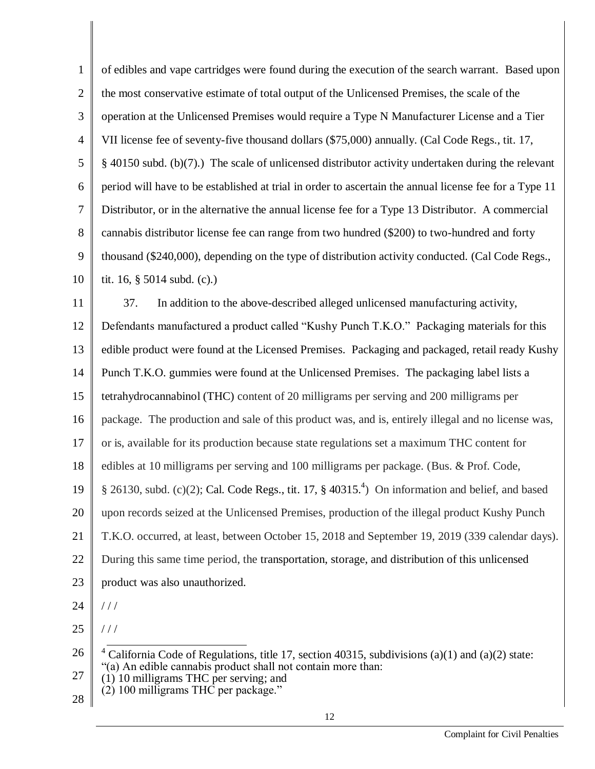| $\mathbf{1}$   | of edibles and vape cartridges were found during the execution of the search warrant. Based upon              |  |  |
|----------------|---------------------------------------------------------------------------------------------------------------|--|--|
| $\overline{2}$ | the most conservative estimate of total output of the Unlicensed Premises, the scale of the                   |  |  |
| 3              | operation at the Unlicensed Premises would require a Type N Manufacturer License and a Tier                   |  |  |
| $\overline{4}$ | VII license fee of seventy-five thousand dollars (\$75,000) annually. (Cal Code Regs., tit. 17,               |  |  |
| 5              | $\S$ 40150 subd. (b)(7).) The scale of unlicensed distributor activity undertaken during the relevant         |  |  |
| 6              | period will have to be established at trial in order to ascertain the annual license fee for a Type 11        |  |  |
| $\tau$         | Distributor, or in the alternative the annual license fee for a Type 13 Distributor. A commercial             |  |  |
| 8              | cannabis distributor license fee can range from two hundred (\$200) to two-hundred and forty                  |  |  |
| 9              | thousand (\$240,000), depending on the type of distribution activity conducted. (Cal Code Regs.,              |  |  |
| 10             | tit. 16, $\S$ 5014 subd. (c).)                                                                                |  |  |
| 11             | 37.<br>In addition to the above-described alleged unlicensed manufacturing activity,                          |  |  |
| 12             | Defendants manufactured a product called "Kushy Punch T.K.O." Packaging materials for this                    |  |  |
| 13             | edible product were found at the Licensed Premises. Packaging and packaged, retail ready Kushy                |  |  |
| 14             | Punch T.K.O. gummies were found at the Unlicensed Premises. The packaging label lists a                       |  |  |
| 15             | tetrahydrocannabinol (THC) content of 20 milligrams per serving and 200 milligrams per                        |  |  |
| 16             | package. The production and sale of this product was, and is, entirely illegal and no license was,            |  |  |
| 17             | or is, available for its production because state regulations set a maximum THC content for                   |  |  |
| 18             | edibles at 10 milligrams per serving and 100 milligrams per package. (Bus. & Prof. Code,                      |  |  |
| 19             | § 26130, subd. (c)(2); Cal. Code Regs., tit. 17, § 40315. <sup>4</sup> ) On information and belief, and based |  |  |
| 20             | upon records seized at the Unlicensed Premises, production of the illegal product Kushy Punch                 |  |  |
| 21             | T.K.O. occurred, at least, between October 15, 2018 and September 19, 2019 (339 calendar days).               |  |  |
| 22             | During this same time period, the transportation, storage, and distribution of this unlicensed                |  |  |
| 23             | product was also unauthorized.                                                                                |  |  |
| 24             | //                                                                                                            |  |  |
| 25             | //                                                                                                            |  |  |
| 26             | California Code of Regulations, title 17, section 40315, subdivisions (a)(1) and (a)(2) state:                |  |  |
| 27             | "(a) An edible cannabis product shall not contain more than:<br>$(1)$ 10 milligrams THC per serving; and      |  |  |
| 28             | (2) 100 milligrams THC per package."                                                                          |  |  |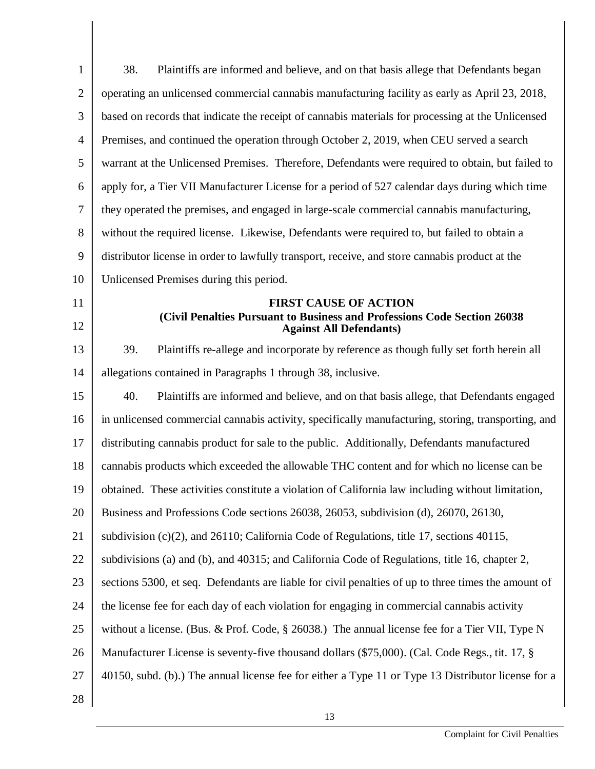| $\mathbf{1}$   | 38.<br>Plaintiffs are informed and believe, and on that basis allege that Defendants began                 |  |  |
|----------------|------------------------------------------------------------------------------------------------------------|--|--|
| $\overline{2}$ | operating an unlicensed commercial cannabis manufacturing facility as early as April 23, 2018,             |  |  |
| 3              | based on records that indicate the receipt of cannabis materials for processing at the Unlicensed          |  |  |
| $\overline{4}$ | Premises, and continued the operation through October 2, 2019, when CEU served a search                    |  |  |
| 5              | warrant at the Unlicensed Premises. Therefore, Defendants were required to obtain, but failed to           |  |  |
| 6              | apply for, a Tier VII Manufacturer License for a period of 527 calendar days during which time             |  |  |
| 7              | they operated the premises, and engaged in large-scale commercial cannabis manufacturing,                  |  |  |
| 8              | without the required license. Likewise, Defendants were required to, but failed to obtain a                |  |  |
| 9              | distributor license in order to lawfully transport, receive, and store cannabis product at the             |  |  |
| 10             | Unlicensed Premises during this period.                                                                    |  |  |
| 11             | <b>FIRST CAUSE OF ACTION</b>                                                                               |  |  |
| 12             | (Civil Penalties Pursuant to Business and Professions Code Section 26038<br><b>Against All Defendants)</b> |  |  |
| 13             | Plaintiffs re-allege and incorporate by reference as though fully set forth herein all<br>39.              |  |  |
| 14             | allegations contained in Paragraphs 1 through 38, inclusive.                                               |  |  |
| 15             | 40.<br>Plaintiffs are informed and believe, and on that basis allege, that Defendants engaged              |  |  |
| 16             | in unlicensed commercial cannabis activity, specifically manufacturing, storing, transporting, and         |  |  |
| 17             | distributing cannabis product for sale to the public. Additionally, Defendants manufactured                |  |  |
| 18             | cannabis products which exceeded the allowable THC content and for which no license can be                 |  |  |
| 19             | obtained. These activities constitute a violation of California law including without limitation,          |  |  |
| 20             | Business and Professions Code sections 26038, 26053, subdivision (d), 26070, 26130,                        |  |  |
| 21             | subdivision $(c)(2)$ , and 26110; California Code of Regulations, title 17, sections 40115,                |  |  |
| 22             | subdivisions (a) and (b), and 40315; and California Code of Regulations, title 16, chapter 2,              |  |  |
| 23             | sections 5300, et seq. Defendants are liable for civil penalties of up to three times the amount of        |  |  |
| 24             | the license fee for each day of each violation for engaging in commercial cannabis activity                |  |  |
| 25             | without a license. (Bus. & Prof. Code, $\S 26038$ .) The annual license fee for a Tier VII, Type N         |  |  |
| 26             | Manufacturer License is seventy-five thousand dollars (\$75,000). (Cal. Code Regs., tit. 17, §             |  |  |
| 27             | 40150, subd. (b).) The annual license fee for either a Type 11 or Type 13 Distributor license for a        |  |  |
| 28             |                                                                                                            |  |  |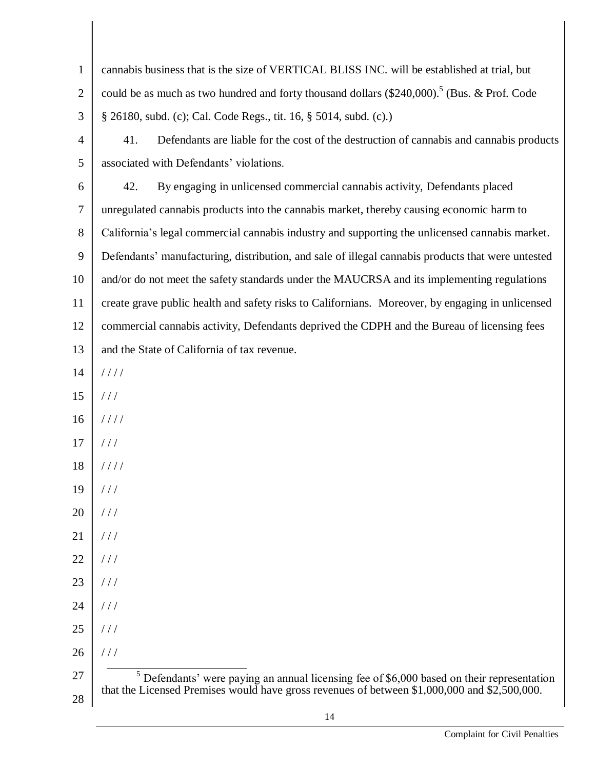| $\mathbf{1}$   | cannabis business that is the size of VERTICAL BLISS INC. will be established at trial, but             |  |  |
|----------------|---------------------------------------------------------------------------------------------------------|--|--|
| $\overline{2}$ | could be as much as two hundred and forty thousand dollars (\$240,000). <sup>5</sup> (Bus. & Prof. Code |  |  |
| 3              | § 26180, subd. (c); Cal. Code Regs., tit. 16, § 5014, subd. (c).)                                       |  |  |
| $\overline{4}$ | Defendants are liable for the cost of the destruction of cannabis and cannabis products<br>41.          |  |  |
| 5              | associated with Defendants' violations.                                                                 |  |  |
| 6              | By engaging in unlicensed commercial cannabis activity, Defendants placed<br>42.                        |  |  |
| $\tau$         | unregulated cannabis products into the cannabis market, thereby causing economic harm to                |  |  |
| 8              | California's legal commercial cannabis industry and supporting the unlicensed cannabis market.          |  |  |
| 9              | Defendants' manufacturing, distribution, and sale of illegal cannabis products that were untested       |  |  |
| 10             | and/or do not meet the safety standards under the MAUCRSA and its implementing regulations              |  |  |
| 11             | create grave public health and safety risks to Californians. Moreover, by engaging in unlicensed        |  |  |
| 12             | commercial cannabis activity, Defendants deprived the CDPH and the Bureau of licensing fees             |  |  |
| 13             | and the State of California of tax revenue.                                                             |  |  |
| 14             | 1111                                                                                                    |  |  |
| 15             | //                                                                                                      |  |  |
| 16             | 1111                                                                                                    |  |  |
| 17             | //                                                                                                      |  |  |
| 18             | 1111                                                                                                    |  |  |
| 19             | $\frac{1}{2}$                                                                                           |  |  |
| 20             | //                                                                                                      |  |  |
| 21             | //                                                                                                      |  |  |
| 22             | //                                                                                                      |  |  |
| 23             | //                                                                                                      |  |  |
| 24             | //                                                                                                      |  |  |
| 25             | //                                                                                                      |  |  |
| 26             | 111                                                                                                     |  |  |
| 27             | $5$ Defendants' were paying an annual licensing fee of \$6,000 based on their representation            |  |  |
| 28             | that the Licensed Premises would have gross revenues of between \$1,000,000 and \$2,500,000.            |  |  |